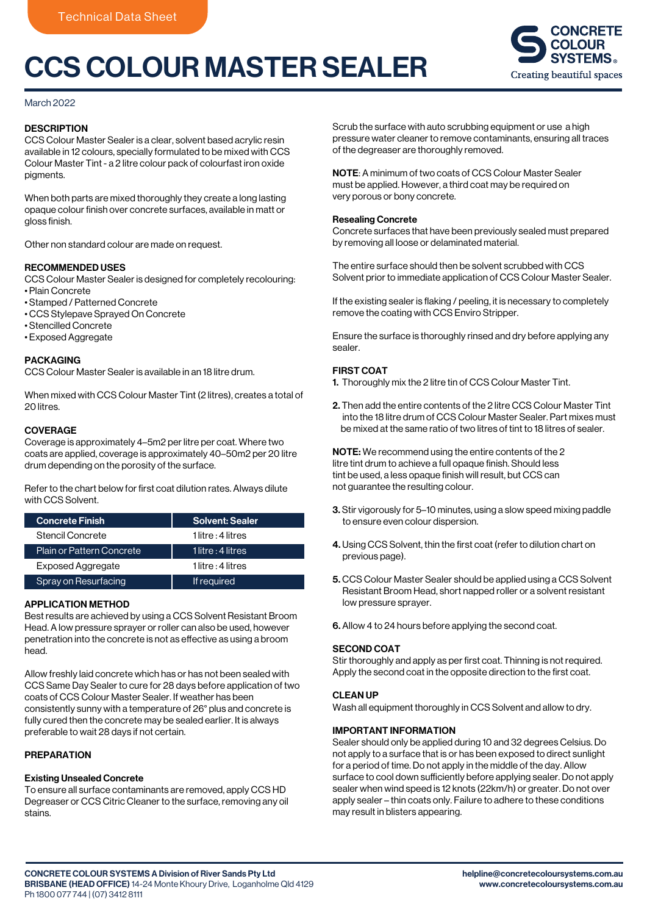# CCS COLOUR MASTER SEALER



March 2022

# **DESCRIPTION**

CCS Colour Master Sealer is a clear, solvent based acrylic resin available in 12 colours, specially formulated to be mixed with CCS Colour Master Tint - a 2 litre colour pack of colourfast iron oxide pigments.

When both parts are mixed thoroughly they create a long lasting opaque colour finish over concrete surfaces, available in matt or gloss finish.

Other non standard colour are made on request.

#### RECOMMENDED USES

CCS Colour Master Sealer is designed for completely recolouring:

- Plain Concrete
- Stamped / Patterned Concrete
- CCS Stylepave Sprayed On Concrete
- Stencilled Concrete
- Exposed Aggregate

#### PACKAGING

CCS Colour Master Sealer is available in an 18 litre drum.

When mixed with CCS Colour Master Tint (2 litres), creates a total of 20 litres.

## **COVERAGE**

Coverage is approximately 4–5m2 per litre per coat. Where two coats are applied, coverage is approximately 40–50m2 per 20 litre drum depending on the porosity of the surface.

Refer to the chart below for first coat dilution rates. Always dilute with CCS Solvent.

| <b>Concrete Finish</b>    | Solvent: Sealer    |
|---------------------------|--------------------|
| Stencil Concrete          | 1 litre : 4 litres |
| Plain or Pattern Concrete | 1 litre : 4 litres |
| <b>Exposed Aggregate</b>  | 1 litre : 4 litres |
| Spray on Resurfacing      | If required        |

# APPLICATION METHOD

Best results are achieved by using a CCS Solvent Resistant Broom Head. A low pressure sprayer or roller can also be used, however penetration into the concrete is not as effective as using a broom head.

Allow freshly laid concrete which has or has not been sealed with CCS Same Day Sealer to cure for 28 days before application of two coats of CCS Colour Master Sealer. If weather has been consistently sunny with a temperature of 26° plus and concrete is fully cured then the concrete may be sealed earlier. It is always preferable to wait 28 days if not certain.

# **PREPARATION**

# Existing Unsealed Concrete

To ensure all surface contaminants are removed, apply CCS HD Degreaser or CCS Citric Cleaner to the surface, removing any oil stains.

Scrub the surface with auto scrubbing equipment or use a high pressure water cleaner to remove contaminants, ensuring all traces of the degreaser are thoroughly removed.

NOTE: A minimum of two coats of CCS Colour Master Sealer must be applied. However, a third coat may be required on very porous or bony concrete.

#### Resealing Concrete

Concrete surfaces that have been previously sealed must prepared by removing all loose or delaminated material.

The entire surface should then be solvent scrubbed with CCS Solvent prior to immediate application of CCS Colour Master Sealer.

If the existing sealer is flaking / peeling, it is necessary to completely remove the coating with CCS Enviro Stripper.

Ensure the surface is thoroughly rinsed and dry before applying any sealer.

## FIRST COAT

- 1. Thoroughly mix the 2 litre tin of CCS Colour Master Tint.
- 2. Then add the entire contents of the 2 litre CCS Colour Master Tint into the 18 litre drum of CCS Colour Master Sealer. Part mixes must be mixed at the same ratio of two litres of tint to 18 litres of sealer.

NOTE: We recommend using the entire contents of the 2 litre tint drum to achieve a full opaque finish. Should less tint be used, a less opaque finish will result, but CCS can not guarantee the resulting colour.

- 3. Stir vigorously for 5–10 minutes, using a slow speed mixing paddle to ensure even colour dispersion.
- 4. Using CCS Solvent, thin the first coat (refer to dilution chart on previous page).
- 5. CCS Colour Master Sealer should be applied using a CCS Solvent Resistant Broom Head, short napped roller or a solvent resistant low pressure sprayer.
- 6. Allow 4 to 24 hours before applying the second coat.

#### SECOND COAT

Stir thoroughly and apply as per first coat. Thinning is not required. Apply the second coat in the opposite direction to the first coat.

#### CLEAN UP

Wash all equipment thoroughly in CCS Solvent and allow to dry.

## IMPORTANT INFORMATION

Sealer should only be applied during 10 and 32 degrees Celsius. Do not apply to a surface that is or has been exposed to direct sunlight for a period of time. Do not apply in the middle of the day. Allow surface to cool down sufficiently before applying sealer. Do not apply sealer when wind speed is 12 knots (22km/h) or greater. Do not over apply sealer – thin coats only. Failure to adhere to these conditions may result in blisters appearing.